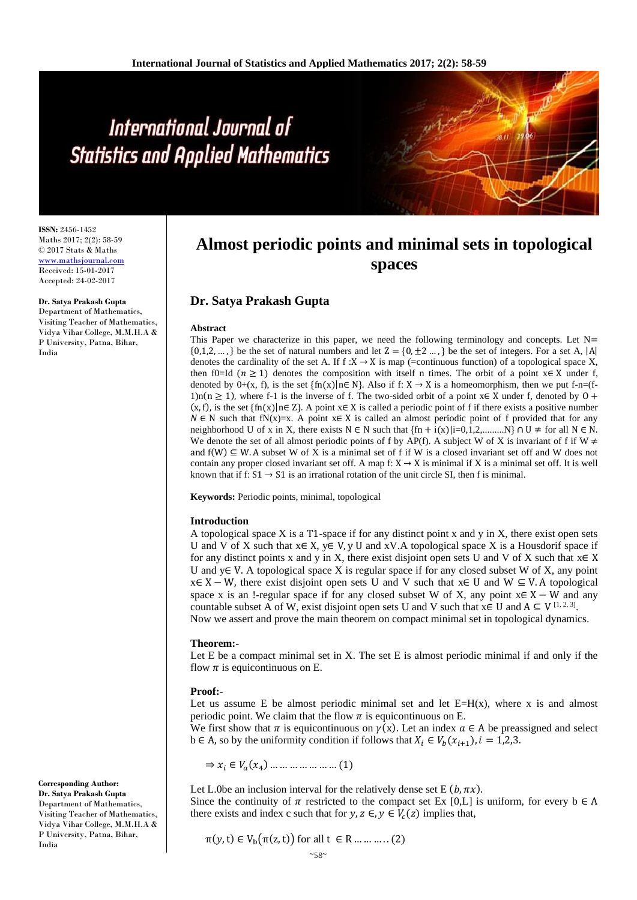# International Journal of **Statistics and Applied Mathematics**

**ISSN:** 2456-1452 Maths 2017; 2(2): 58-59 © 2017 Stats & Maths <www.mathsjournal.com> Received: 15-01-2017 Accepted: 24-02-2017

#### **Dr. Satya Prakash Gupta**

Department of Mathematics, Visiting Teacher of Mathematics, Vidya Vihar College, M.M.H.A & P University, Patna, Bihar, India

## **Almost periodic points and minimal sets in topological spaces**

### **Dr. Satya Prakash Gupta**

#### **Abstract**

This Paper we characterize in this paper, we need the following terminology and concepts. Let N=  $\{0,1,2,\ldots\}$  be the set of natural numbers and let  $Z = \{0, \pm 2 \ldots\}$  be the set of integers. For a set A, |A| denotes the cardinality of the set A. If  $f : X \to X$  is map (=continuous function) of a topological space X, then f0=Id ( $n \ge 1$ ) denotes the composition with itself n times. The orbit of a point x∈ X under f, denoted by  $0+(x, f)$ , is the set  $\{\text{fn}(x)|n \in \mathbb{N}\}$ . Also if f:  $X \to X$  is a homeomorphism, then we put f-n=(f-1)n(n ≥ 1), where f-1 is the inverse of f. The two-sided orbit of a point  $x \in X$  under f, denoted by  $0 +$  $(x, f)$ , is the set  $\{f_n(x)\}\in \mathbb{Z}\}$ . A point  $x \in X$  is called a periodic point of f if there exists a positive number  $N \in N$  such that fN(x)=x. A point x∈ X is called an almost periodic point of f provided that for any neighborhood U of x in X, there exists  $N \in N$  such that  $\{fn + i(x) | i=0,1,2,...,N\} \cap U \neq$  for all  $N \in N$ . We denote the set of all almost periodic points of f by AP(f). A subject W of X is invariant of f if W  $\neq$ and  $f(W) \subseteq W$ . A subset W of X is a minimal set of f if W is a closed invariant set off and W does not contain any proper closed invariant set off. A map f:  $X \rightarrow X$  is minimal if X is a minimal set off. It is well known that if f:  $S1 \rightarrow S1$  is an irrational rotation of the unit circle SI, then f is minimal.

**Keywords:** Periodic points, minimal, topological

#### **Introduction**

A topological space X is a  $T1$ -space if for any distinct point x and y in X, there exist open sets U and V of X such that  $x \in X$ ,  $y \in V$ , y U and xV.A topological space X is a Housdorif space if for any distinct points x and y in X, there exist disjoint open sets U and V of X such that  $x \in X$ U and y $\in$  V. A topological space X is regular space if for any closed subset W of X, any point  $x \in X - W$ , there exist disjoint open sets U and V such that  $x \in U$  and W  $\subseteq V$ . A topological space x is an !-regular space if for any closed subset W of X, any point  $x \in X - W$  and any countable subset A of W, exist disjoint open sets U and V such that  $x \in U$  and  $A \subseteq V^{[1, 2, 3]}$ .

Now we assert and prove the main theorem on compact minimal set in topological dynamics.

#### **Theorem:-**

Let  $E$  be a compact minimal set in  $X$ . The set  $E$  is almost periodic minimal if and only if the flow  $\pi$  is equicontinuous on E.

#### **Proof:-**

Let us assume E be almost periodic minimal set and let  $E=H(x)$ , where x is and almost periodic point. We claim that the flow  $\pi$  is equicontinuous on E.

We first show that  $\pi$  is equicontinuous on  $\gamma(x)$ . Let an index  $a \in A$  be preassigned and select b ∈ A, so by the uniformity condition if follows that  $X_i$  ∈  $V_b(x_{i+1})$ ,  $i = 1,2,3$ .

 $\Rightarrow$   $x_i \in V_a(x_4) \dots \dots \dots \dots \dots \dots (1)$ 

Let L.0be an inclusion interval for the relatively dense set E  $(b, \pi x)$ . Since the continuity of  $\pi$  restricted to the compact set Ex [0,L] is uniform, for every  $b \in A$ there exists and index c such that for  $y, z \in, y \in V_c(z)$  implies that,

$$
\pi(y, t) \in V_b(\pi(z, t)) \text{ for all } t \in R \dots \dots \dots (2)
$$



**Dr. Satya Prakash Gupta** Department of Mathematics, Visiting Teacher of Mathematics, Vidya Vihar College, M.M.H.A & P University, Patna, Bihar, India